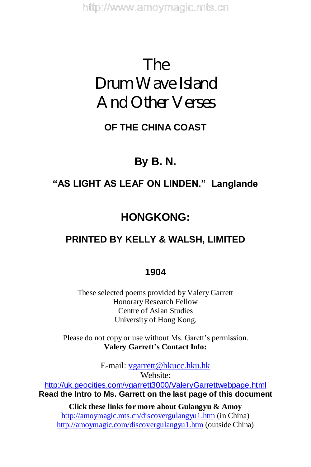# The Drum Wave Island And Other Verses

## **OF THE CHINA COAST**

# **By B. N.**

## **"ASLIGHTASLEAFONLINDEN."Langlande**

# **HONGKONG:**

# **PRINTED BY KELLY & WALSH, LIMITED**

#### **1904**

These selected poems provided by Valery Garrett Honorary Research Fellow Centre of Asian Studies University of Hong Kong.

Please do not copy or use without Ms. Garett's permission. **Valery Garrett'sContact Info:**

> E-mail: vgarrett@hkucc.hku.hk Website:

http://uk.geocities.com/vgarrett3000/ValeryGarrettwebpage.html **Read the Intro to Ms. Garrett on the last page of this document**

**Click these links for more about Gulangyu & Amoy** http://amoymagic.mts.cn/discovergulangyu1.htm (in China) http://amoymagic.com/discovergulangyu1.htm (outside China)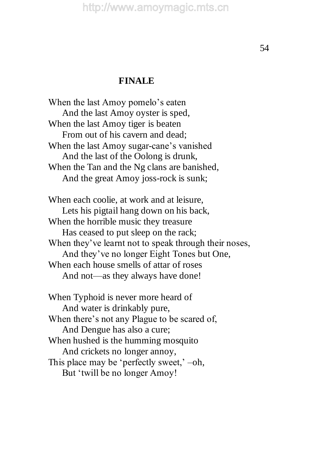#### **FINALE**

When the last Amoy pomelo's eaten And the last Amoy oyster is sped, When the last Amoy tiger is beaten From out of his cavern and dead; When the last Amoy sugar-cane's vanished And the last of the Oolong is drunk, When the Tan and the Ng clans are banished, And the great Amoy joss-rock is sunk; When each coolie, at work and at leisure,

Lets his pigtail hang down on his back, When the horrible music they treasure Has ceased to put sleep on the rack; When they've learnt not to speak through their noses, And they've no longer Eight Tones but One, When each house smells of attar of roses And not—as they always have done!

When Typhoid is never more heard of And water is drinkably pure, When there's not any Plague to be scared of, And Dengue has also a cure; When hushed is the humming mosquito And crickets no longer annoy, This place may be 'perfectly sweet,' –oh, But 'twill be no longer Amoy!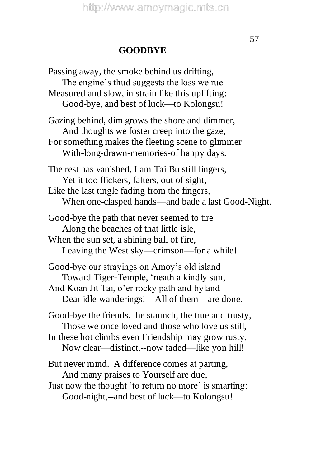#### **GOODBYE**

Passing away, the smoke behind us drifting, The engine's thud suggests the loss we rue— Measured and slow, in strain like this uplifting: Good-bye, and best of luck—to Kolongsu! Gazing behind, dim grows the shore and dimmer, And thoughts we foster creep into the gaze, For something makes the fleeting scene to glimmer With-long-drawn-memories-of happy days. The rest has vanished, Lam Tai Bu still lingers, Yet it too flickers, falters, out of sight, Like the last tingle fading from the fingers, When one-clasped hands—and bade a last Good-Night. Good-bye the path that never seemed to tire Along the beaches of that little isle, When the sun set, a shining ball of fire, Leaving the West sky—crimson—for a while! Good-bye our strayings on Amoy's old island Toward Tiger-Temple, 'neath a kindly sun, And Koan Jit Tai, o'er rocky path and byland— Dear idle wanderings!—All of them—are done. Good-bye the friends, the staunch, the true and trusty, Those we once loved and those who love us still, In these hot climbs even Friendship may grow rusty, Now clear—distinct,--now faded—like yon hill! But never mind. A difference comes at parting, And many praises to Yourself are due, Just now the thought 'to return no more' is smarting: Good-night,--and best of luck—to Kolongsu!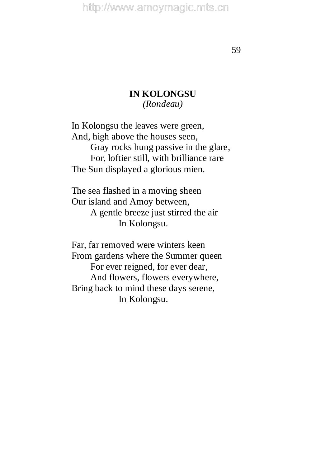59

#### **IN KOLONGSU** *(Rondeau)*

In Kolongsu the leaves were green, And, high above the houses seen, Gray rocks hung passive in the glare, For, loftier still, with brilliance rare The Sun displayed a glorious mien.

The sea flashed in a moving sheen Our island and Amoy between, A gentle breeze just stirred the air In Kolongsu.

Far, far removed were winters keen From gardens where the Summer queen For ever reigned, for ever dear, And flowers, flowers everywhere, Bring back to mind these days serene, In Kolongsu.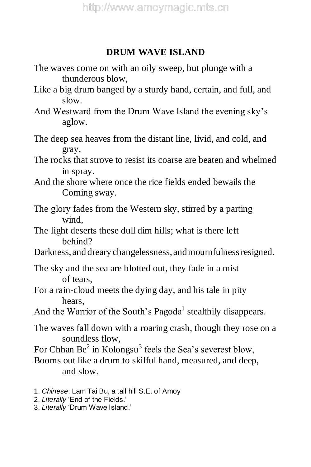### **DRUM WAVE ISLAND**

- The waves come on with an oily sweep, but plunge with a thunderous blow,
- Like a big drum banged by a sturdy hand, certain, and full, and slow.
- And Westward from the Drum Wave Island the evening sky's aglow.
- The deep sea heaves from the distant line, livid, and cold, and gray,
- The rocks that strove to resist its coarse are beaten and whelmed in spray.
- And the shore where once the rice fields ended bewails the Coming sway.
- The glory fades from the Western sky, stirred by a parting wind,
- The light deserts these dull dim hills; what is there left behind?
- Darkness, and dreary changelessness, and mournfulness resigned.
- The sky and the sea are blotted out, they fade in a mist of tears,
- For a rain-cloud meets the dying day, and his tale in pity hears,
- And the Warrior of the South's Pagoda<sup>1</sup> stealthily disappears.
- The waves fall down with a roaring crash, though they rose on a soundless flow,
- For Chhan Be<sup>2</sup> in Kolongsu<sup>3</sup> feels the Sea's severest blow,
- Booms out like a drum to skilful hand, measured, and deep, and slow.
- 1. *Chinese*: Lam Tai Bu, a tall hill S.E. of Amoy
- 2. Literally 'End of the Fields.'
- 3. Literally 'Drum Wave Island.'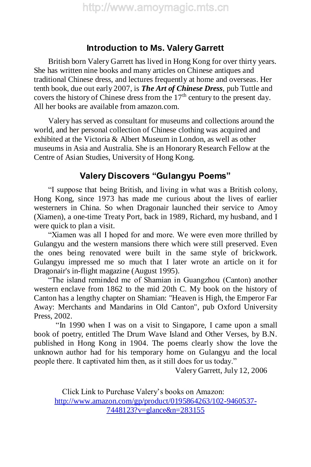#### **Introduction to Ms. Valery Garrett**

British born Valery Garrett has lived in Hong Kong for over thirty years. She has written nine books and many articles on Chinese antiques and traditional Chinese dress, and lectures frequently at home and overseas. Her tenth book, due out early 2007, is *The Art of Chinese Dress*, pub Tuttle and covers the history of Chinese dress from the  $17<sup>th</sup>$  century to the present day. All her books are available from amazon.com.

Valery has served as consultant for museums and collections around the world, and her personal collection of Chinese clothing was acquired and exhibited at the Victoria & Albert Museum in London, as well as other museums in Asia and Australia. She is an Honorary Research Fellow at the Centre of Asian Studies, University of Hong Kong.

#### **Valery Discovers "Gulangyu Poems"**

"I suppose that being British, and living in what was a British colony, Hong Kong, since 1973 has made me curious about the lives of earlier westerners in China. So when Dragonair launched their service to Amoy (Xiamen), a one-time Treaty Port, back in 1989, Richard, my husband, and I were quick to plan a visit.

"Xiamen was all I hoped for and more. We were even more thrilled by Gulangyu and the western mansions there which were still preserved. Even the ones being renovated were built in the same style of brickwork. Gulangyu impressed me so much that I later wrote an article on it for Dragonair's in-flight magazine (August 1995).

"The island reminded me of Shamian in Guangzhou (Canton) another western enclave from 1862 to the mid 20th C. My book on the history of Canton has a lengthy chapter on Shamian: "Heaven is High, the Emperor Far Away: Merchants and Mandarins in Old Canton", pub Oxford University Press, 2002.

"In 1990 when I was on a visit to Singapore, I came upon a small book of poetry, entitled The Drum Wave Island and Other Verses, by B.N. published in Hong Kong in 1904. The poems clearly show the love the unknown author had for his temporary home on Gulangyu and the local people there. It captivated him then, as it still does for us today."

Valery Garrett, July 12, 2006

Click Link to Purchase Valery's books on Amazon: http://www.amazon.com/gp/product/0195864263/102-9460537- 7448123?v=glance&n=283155